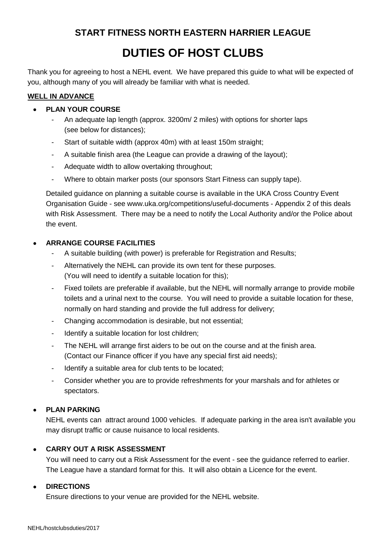# **START FITNESS NORTH EASTERN HARRIER LEAGUE DUTIES OF HOST CLUBS**

Thank you for agreeing to host a NEHL event. We have prepared this guide to what will be expected of you, although many of you will already be familiar with what is needed.

## **WELL IN ADVANCE**

## **PLAN YOUR COURSE**

- An adequate lap length (approx. 3200m/ 2 miles) with options for shorter laps (see below for distances);
- Start of suitable width (approx 40m) with at least 150m straight;
- A suitable finish area (the League can provide a drawing of the layout);
- Adequate width to allow overtaking throughout;
- Where to obtain marker posts (our sponsors Start Fitness can supply tape).

Detailed guidance on planning a suitable course is available in the UKA Cross Country Event Organisation Guide - see www.uka.org/competitions/useful-documents - Appendix 2 of this deals with Risk Assessment. There may be a need to notify the Local Authority and/or the Police about the event.

## **ARRANGE COURSE FACILITIES**

- A suitable building (with power) is preferable for Registration and Results;
- Alternatively the NEHL can provide its own tent for these purposes. (You will need to identify a suitable location for this);
- Fixed toilets are preferable if available, but the NEHL will normally arrange to provide mobile toilets and a urinal next to the course. You will need to provide a suitable location for these, normally on hard standing and provide the full address for delivery;
- Changing accommodation is desirable, but not essential;
- Identify a suitable location for lost children;
- The NEHL will arrange first aiders to be out on the course and at the finish area. (Contact our Finance officer if you have any special first aid needs);
- Identify a suitable area for club tents to be located;
- Consider whether you are to provide refreshments for your marshals and for athletes or spectators.

# **PLAN PARKING**

NEHL events can attract around 1000 vehicles. If adequate parking in the area isn't available you may disrupt traffic or cause nuisance to local residents.

# **CARRY OUT A RISK ASSESSMENT**

You will need to carry out a Risk Assessment for the event - see the guidance referred to earlier. The League have a standard format for this. It will also obtain a Licence for the event.

## **DIRECTIONS**

Ensure directions to your venue are provided for the NEHL website.